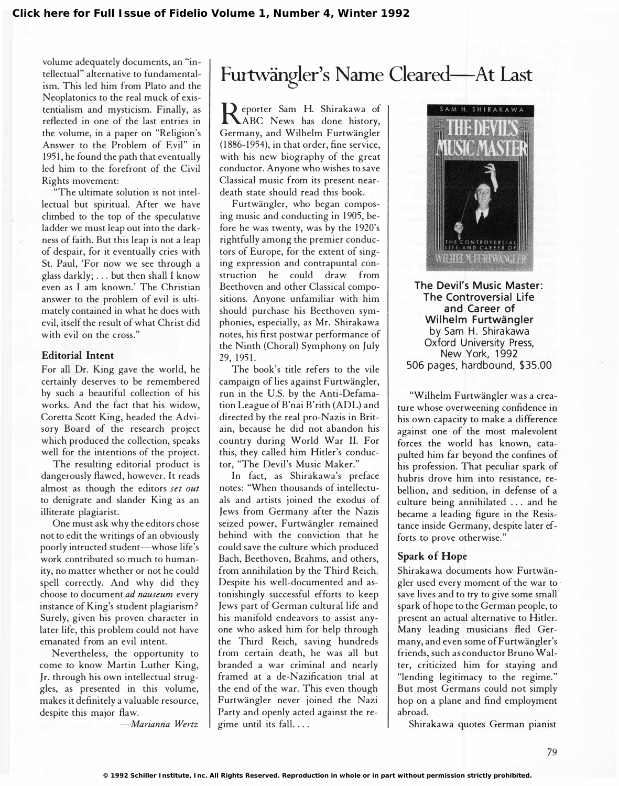volume adequately documents, an "intellectual" alternative to fundamentalism. This led him from Plato and the Neoplatonics to the real muck of existentialism and mysticism. Finally, as reflected in one of the last entries in the volume, in a paper on "Religion's Answer to the Problem of Evil" in 1951, he found the path that eventually led him to the forefront of the Civil Rights movement:

"The ultimate solution is not intellectual but spiritual. After we have climbed to the top of the speculative ladder we must leap out into the darkness of faith. But this leap is not a leap of despair, for it eventually cries with St. Paul, 'For now we see through a glass darkly;  $\dots$  but then shall I know even as I am known.' The Christian answer to the problem of evil is ultimately contained in what he does with evil, itself the result of what Christ did with evil on the cross."

#### Editorial Intent

For all Dr. King gave the world, he certainly deserves to be remembered by such a beautiful collection of his works. And the fact that his widow, Coretta Scott King, headed the Advisory Board of the research project which produced the collection, speaks well for the intentions of the project.

The resulting editorial product is dangerously flawed, however. It reads almost as though the editors set out to denigrate and slander King as an illiterate plagiarist.

One must ask why the editors chose not to edit the writings of an obviously poorly intructed student-whose life's work contributed so much to humanity, no matter whether or not he could spell correctly. And why did they choose to document ad nauseum every instance of King's student plagiarism ? Surely, given his proven character in later life, this problem could not have emanated from an evil intent.

Nevertheless, the opportunity to come to know Martin Luther King, Jr. through his own intellectual struggles, as presented in this volume, makes it definitely a valuable resource, despite this major flaw.

-Marianna Wertz

## Furtwängler's Name Cleared--- At Last

**R** eporter Sam H. Shirakawa of<br>ABC News has done history, eporter Sam H. Shirakawa of Germany, and Wilhelm Furtwangler (1886-1954), in that order, fine service, with his new biography of the great conductor. Anyone who wishes to save Classical music from its present neardeath state should read this book.

Furtwangler, who began composing music and conducting in 1905, before he was twenty, was by the 1920's rightfully among the premier conductors of Europe, for the extent of singing expression and contrapuntal construction he could draw from Beethoven and other Classical compositions. Anyone unfamiliar with him should purchase his Beethoven symphonies, especially, as Mr. Shirakawa notes, his first postwar performance of the Ninth (Choral) Symphony on July 29, 1951.

The book's title refers to the vile campaign of lies against Furtwangler, run in the U.S. by the Anti-Defamation League of B'nai B'rith (ADL) and directed by the real pro-Nazis in Britain, because he did not abandon his country during World War II. For this, they called him Hitler's conductor, "The Devil's Music Maker."

In fact, as Shirakawa's preface notes: "When thousands of intellectuals and artists joined the exodus of Jews from Germany after the Nazis seized power, Furtwängler remained behind with the conviction that he could save the culture which produced Bach, Beethoven, Brahms, and others, from annihilation by the Third Reich. Despite his well-documented and astonishingly successful efforts to keep Jews part of German cultural life and his manifold endeavors to assist anyone who asked him for help through the Third Reich, saving hundreds from certain death, he was all but branded a war criminal and nearly framed at a de-Nazification trial at the end of the war. This even though Furtwangler never joined the Nazi Party and openly acted against the regime until its fall. ...



The Devil's Music Master: The Controversial Life and Career of Wilhelm Furtwängler by Sam H. Shirakawa Oxford University Press, New York, 1992 506 pages, hardbound, \$35 .00

"Wilhelm Furtwangler was a creature whose overweening confidence in his own capacity to make a difference against one of the most malevolent forces the world has known, catapulted him far beyond the confines of his profession. That peculiar spark of hubris drove him into resistance, rebellion, and sedition, in defense of a culture being annihilated ... and he became a leading figure in the Resistance inside Germany, despite later efforts to prove otherwise."

#### Spark of Hope

Shirakawa documents how Furtwangler used every moment of the war to save lives and to try to give some small spark of hope to the German people, to present an actual alternative to Hitler. Many leading musicians fled Germany, and even some of Furtwängler's friends, such as conductor Bruno Walter, criticized him for staying and "lending legitimacy to the regime." But most Germans could not simply hop on a plane and find employment abroad.

Shirakawa quotes German pianist